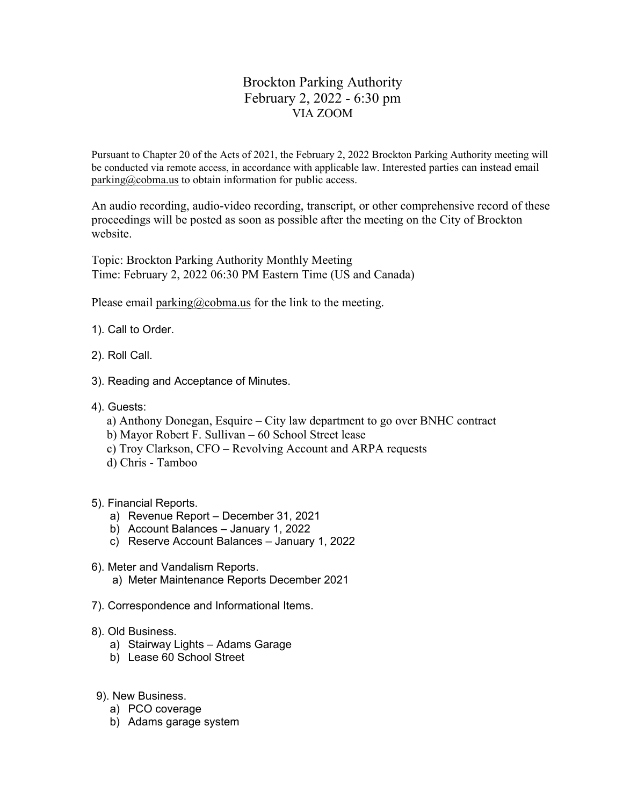## Brockton Parking Authority February 2, 2022 - 6:30 pm VIA ZOOM

Pursuant to Chapter 20 of the Acts of 2021, the February 2, 2022 Brockton Parking Authority meeting will be conducted via remote access, in accordance with applicable law. Interested parties can instead email parking@cobma.us to obtain information for public access.

An audio recording, audio-video recording, transcript, or other comprehensive record of these proceedings will be posted as soon as possible after the meeting on the City of Brockton website.

Topic: Brockton Parking Authority Monthly Meeting Time: February 2, 2022 06:30 PM Eastern Time (US and Canada)

Please email parking@cobma.us for the link to the meeting.

- 1). Call to Order.
- 2). Roll Call.
- 3). Reading and Acceptance of Minutes.
- 4). Guests:
	- a) Anthony Donegan, Esquire City law department to go over BNHC contract
	- b) Mayor Robert F. Sullivan 60 School Street lease
	- c) Troy Clarkson, CFO Revolving Account and ARPA requests
	- d) Chris Tamboo
- 5). Financial Reports.
	- a) Revenue Report December 31, 2021
	- b) Account Balances January 1, 2022
	- c) Reserve Account Balances January 1, 2022
- 6). Meter and Vandalism Reports. a) Meter Maintenance Reports December 2021
- 7). Correspondence and Informational Items.
- 8). Old Business.
	- a) Stairway Lights Adams Garage
	- b) Lease 60 School Street
- 9). New Business.
	- a) PCO coverage
	- b) Adams garage system